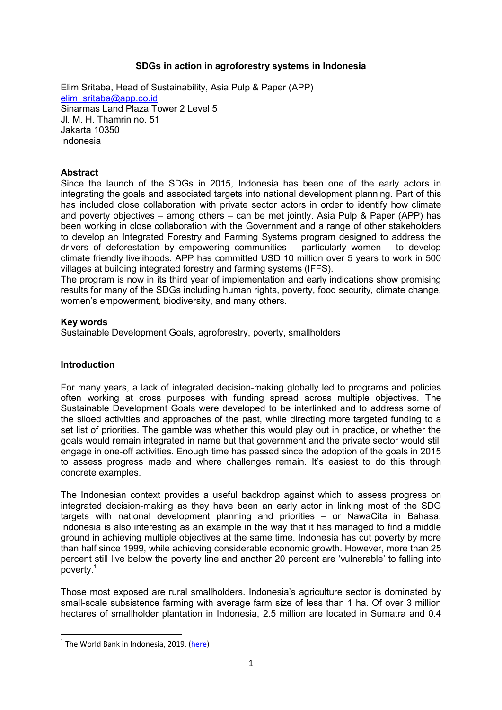# SDGs in action in agroforestry systems in Indonesia

Elim Sritaba, Head of Sustainability, Asia Pulp & Paper (APP) elim\_sritaba@app.co.id Sinarmas Land Plaza Tower 2 Level 5 Jl. M. H. Thamrin no. 51 Jakarta 10350 Indonesia

### **Abstract**

Since the launch of the SDGs in 2015, Indonesia has been one of the early actors in integrating the goals and associated targets into national development planning. Part of this has included close collaboration with private sector actors in order to identify how climate and poverty objectives – among others – can be met jointly. Asia Pulp & Paper (APP) has been working in close collaboration with the Government and a range of other stakeholders to develop an Integrated Forestry and Farming Systems program designed to address the drivers of deforestation by empowering communities – particularly women – to develop climate friendly livelihoods. APP has committed USD 10 million over 5 years to work in 500 villages at building integrated forestry and farming systems (IFFS).

The program is now in its third year of implementation and early indications show promising results for many of the SDGs including human rights, poverty, food security, climate change, women's empowerment, biodiversity, and many others.

#### Key words

Sustainable Development Goals, agroforestry, poverty, smallholders

#### Introduction

For many years, a lack of integrated decision-making globally led to programs and policies often working at cross purposes with funding spread across multiple objectives. The Sustainable Development Goals were developed to be interlinked and to address some of the siloed activities and approaches of the past, while directing more targeted funding to a set list of priorities. The gamble was whether this would play out in practice, or whether the goals would remain integrated in name but that government and the private sector would still engage in one-off activities. Enough time has passed since the adoption of the goals in 2015 to assess progress made and where challenges remain. It's easiest to do this through concrete examples.

The Indonesian context provides a useful backdrop against which to assess progress on integrated decision-making as they have been an early actor in linking most of the SDG targets with national development planning and priorities – or NawaCita in Bahasa. Indonesia is also interesting as an example in the way that it has managed to find a middle ground in achieving multiple objectives at the same time. Indonesia has cut poverty by more than half since 1999, while achieving considerable economic growth. However, more than 25 percent still live below the poverty line and another 20 percent are 'vulnerable' to falling into poverty.<sup>1</sup>

Those most exposed are rural smallholders. Indonesia's agriculture sector is dominated by small-scale subsistence farming with average farm size of less than 1 ha. Of over 3 million hectares of smallholder plantation in Indonesia, 2.5 million are located in Sumatra and 0.4

-

<sup>&</sup>lt;sup>1</sup> The World Bank in Indonesia, 2019. (here)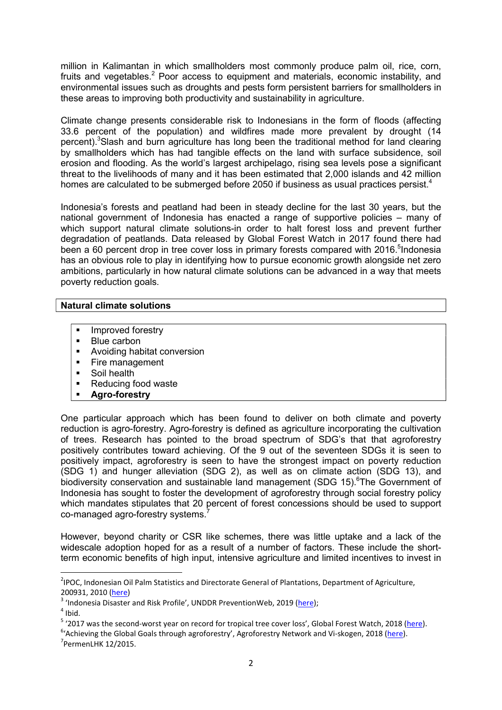million in Kalimantan in which smallholders most commonly produce palm oil, rice, corn, fruits and vegetables.<sup>2</sup> Poor access to equipment and materials, economic instability, and environmental issues such as droughts and pests form persistent barriers for smallholders in these areas to improving both productivity and sustainability in agriculture.

Climate change presents considerable risk to Indonesians in the form of floods (affecting 33.6 percent of the population) and wildfires made more prevalent by drought (14 percent).<sup>3</sup>Slash and burn agriculture has long been the traditional method for land clearing by smallholders which has had tangible effects on the land with surface subsidence, soil erosion and flooding. As the world's largest archipelago, rising sea levels pose a significant threat to the livelihoods of many and it has been estimated that 2,000 islands and 42 million homes are calculated to be submerged before 2050 if business as usual practices persist.<sup>4</sup>

Indonesia's forests and peatland had been in steady decline for the last 30 years, but the national government of Indonesia has enacted a range of supportive policies – many of which support natural climate solutions-in order to halt forest loss and prevent further degradation of peatlands. Data released by Global Forest Watch in 2017 found there had been a 60 percent drop in tree cover loss in primary forests compared with 2016.<sup>5</sup>Indonesia has an obvious role to play in identifying how to pursue economic growth alongside net zero ambitions, particularly in how natural climate solutions can be advanced in a way that meets poverty reduction goals.

### Natural climate solutions

- **Improved forestry**
- Blue carbon
- **Avoiding habitat conversion**
- Fire management
- **Soil health**
- Reducing food waste
- Agro-forestry

One particular approach which has been found to deliver on both climate and poverty reduction is agro-forestry. Agro-forestry is defined as agriculture incorporating the cultivation of trees. Research has pointed to the broad spectrum of SDG's that that agroforestry positively contributes toward achieving. Of the 9 out of the seventeen SDGs it is seen to positively impact, agroforestry is seen to have the strongest impact on poverty reduction (SDG 1) and hunger alleviation (SDG 2), as well as on climate action (SDG 13), and biodiversity conservation and sustainable land management (SDG 15).<sup>6</sup>The Government of Indonesia has sought to foster the development of agroforestry through social forestry policy which mandates stipulates that 20 percent of forest concessions should be used to support co-managed agro-forestry systems.<sup>7</sup>

However, beyond charity or CSR like schemes, there was little uptake and a lack of the widescale adoption hoped for as a result of a number of factors. These include the shortterm economic benefits of high input, intensive agriculture and limited incentives to invest in

-

<sup>&</sup>lt;sup>2</sup>IPOC, Indonesian Oil Palm Statistics and Directorate General of Plantations, Department of Agriculture, 200931, 2010 (here)

<sup>&</sup>lt;sup>3</sup> 'Indonesia Disaster and Risk Profile', UNDDR PreventionWeb, 2019 (here);

 $<sup>4</sup>$  Ibid.</sup>

<sup>&</sup>lt;sup>5</sup> '2017 was the second-worst year on record for tropical tree cover loss', Global Forest Watch, 2018 (here).

<sup>&</sup>lt;sup>6</sup>'Achieving the Global Goals through agroforestry', Agroforestry Network and Vi-skogen, 2018 (here).  $7$ PermenLHK 12/2015.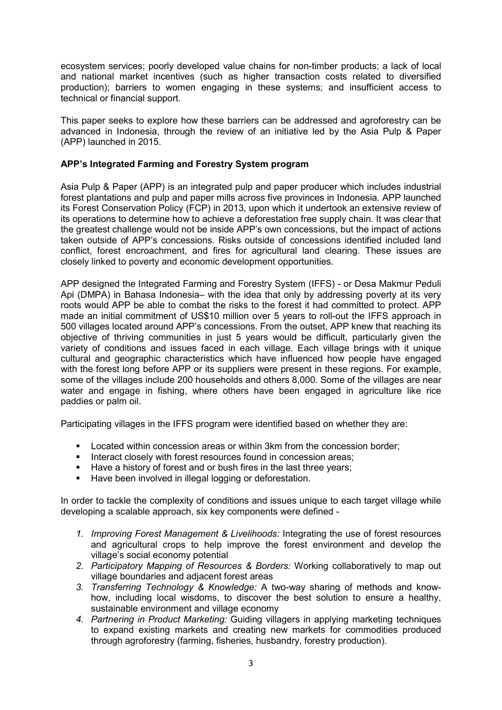ecosystem services; poorly developed value chains for non-timber products; a lack of local and national market incentives (such as higher transaction costs related to diversified production); barriers to women engaging in these systems; and insufficient access to technical or financial support.

This paper seeks to explore how these barriers can be addressed and agroforestry can be advanced in Indonesia, through the review of an initiative led by the Asia Pulp & Paper (APP) launched in 2015.

# APP's Integrated Farming and Forestry System program

Asia Pulp & Paper (APP) is an integrated pulp and paper producer which includes industrial forest plantations and pulp and paper mills across five provinces in Indonesia. APP launched its Forest Conservation Policy (FCP) in 2013, upon which it undertook an extensive review of its operations to determine how to achieve a deforestation free supply chain. It was clear that the greatest challenge would not be inside APP's own concessions, but the impact of actions taken outside of APP's concessions. Risks outside of concessions identified included land conflict, forest encroachment, and fires for agricultural land clearing. These issues are closely linked to poverty and economic development opportunities.

APP designed the Integrated Farming and Forestry System (IFFS) - or Desa Makmur Peduli Api (DMPA) in Bahasa Indonesia– with the idea that only by addressing poverty at its very roots would APP be able to combat the risks to the forest it had committed to protect. APP made an initial commitment of US\$10 million over 5 years to roll-out the IFFS approach in 500 villages located around APP's concessions. From the outset, APP knew that reaching its objective of thriving communities in just 5 years would be difficult, particularly given the variety of conditions and issues faced in each village. Each village brings with it unique cultural and geographic characteristics which have influenced how people have engaged with the forest long before APP or its suppliers were present in these regions. For example, some of the villages include 200 households and others 8,000. Some of the villages are near water and engage in fishing, where others have been engaged in agriculture like rice paddies or palm oil.

Participating villages in the IFFS program were identified based on whether they are:

- **Located within concession areas or within 3km from the concession border;**
- Interact closely with forest resources found in concession areas;
- Have a history of forest and or bush fires in the last three years;
- Have been involved in illegal logging or deforestation.

In order to tackle the complexity of conditions and issues unique to each target village while developing a scalable approach, six key components were defined -

- 1. Improving Forest Management & Livelihoods: Integrating the use of forest resources and agricultural crops to help improve the forest environment and develop the village's social economy potential
- 2. Participatory Mapping of Resources & Borders: Working collaboratively to map out village boundaries and adjacent forest areas
- 3. Transferring Technology & Knowledge: A two-way sharing of methods and knowhow, including local wisdoms, to discover the best solution to ensure a healthy, sustainable environment and village economy
- 4. Partnering in Product Marketing: Guiding villagers in applying marketing techniques to expand existing markets and creating new markets for commodities produced through agroforestry (farming, fisheries, husbandry, forestry production).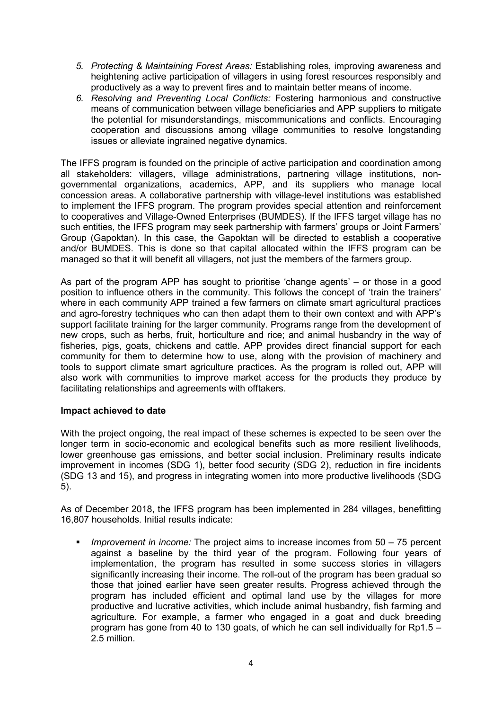- 5. Protecting & Maintaining Forest Areas: Establishing roles, improving awareness and heightening active participation of villagers in using forest resources responsibly and productively as a way to prevent fires and to maintain better means of income.
- 6. Resolving and Preventing Local Conflicts: Fostering harmonious and constructive means of communication between village beneficiaries and APP suppliers to mitigate the potential for misunderstandings, miscommunications and conflicts. Encouraging cooperation and discussions among village communities to resolve longstanding issues or alleviate ingrained negative dynamics.

The IFFS program is founded on the principle of active participation and coordination among all stakeholders: villagers, village administrations, partnering village institutions, nongovernmental organizations, academics, APP, and its suppliers who manage local concession areas. A collaborative partnership with village-level institutions was established to implement the IFFS program. The program provides special attention and reinforcement to cooperatives and Village-Owned Enterprises (BUMDES). If the IFFS target village has no such entities, the IFFS program may seek partnership with farmers' groups or Joint Farmers' Group (Gapoktan). In this case, the Gapoktan will be directed to establish a cooperative and/or BUMDES. This is done so that capital allocated within the IFFS program can be managed so that it will benefit all villagers, not just the members of the farmers group.

As part of the program APP has sought to prioritise 'change agents' – or those in a good position to influence others in the community. This follows the concept of 'train the trainers' where in each community APP trained a few farmers on climate smart agricultural practices and agro-forestry techniques who can then adapt them to their own context and with APP's support facilitate training for the larger community. Programs range from the development of new crops, such as herbs, fruit, horticulture and rice; and animal husbandry in the way of fisheries, pigs, goats, chickens and cattle. APP provides direct financial support for each community for them to determine how to use, along with the provision of machinery and tools to support climate smart agriculture practices. As the program is rolled out, APP will also work with communities to improve market access for the products they produce by facilitating relationships and agreements with offtakers.

# Impact achieved to date

With the project ongoing, the real impact of these schemes is expected to be seen over the longer term in socio-economic and ecological benefits such as more resilient livelihoods, lower greenhouse gas emissions, and better social inclusion. Preliminary results indicate improvement in incomes (SDG 1), better food security (SDG 2), reduction in fire incidents (SDG 13 and 15), and progress in integrating women into more productive livelihoods (SDG 5).

As of December 2018, the IFFS program has been implemented in 284 villages, benefitting 16,807 households. Initial results indicate:

 Improvement in income: The project aims to increase incomes from 50 – 75 percent against a baseline by the third year of the program. Following four years of implementation, the program has resulted in some success stories in villagers significantly increasing their income. The roll-out of the program has been gradual so those that joined earlier have seen greater results. Progress achieved through the program has included efficient and optimal land use by the villages for more productive and lucrative activities, which include animal husbandry, fish farming and agriculture. For example, a farmer who engaged in a goat and duck breeding program has gone from 40 to 130 goats, of which he can sell individually for Rp1.5 – 2.5 million.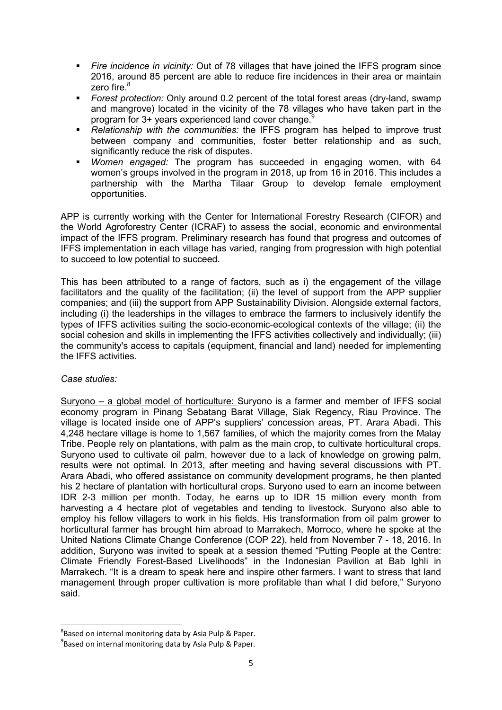- Fire incidence in vicinity: Out of 78 villages that have joined the IFFS program since 2016, around 85 percent are able to reduce fire incidences in their area or maintain zero fire. $8<sup>8</sup>$
- Forest protection: Only around 0.2 percent of the total forest areas (dry-land, swamp and mangrove) located in the vicinity of the 78 villages who have taken part in the program for 3+ years experienced land cover change.<sup>9</sup>
- Relationship with the communities: the IFFS program has helped to improve trust between company and communities, foster better relationship and as such, significantly reduce the risk of disputes.
- **Women engaged:** The program has succeeded in engaging women, with 64 women's groups involved in the program in 2018, up from 16 in 2016. This includes a partnership with the Martha Tilaar Group to develop female employment opportunities.

APP is currently working with the Center for International Forestry Research (CIFOR) and the World Agroforestry Center (ICRAF) to assess the social, economic and environmental impact of the IFFS program. Preliminary research has found that progress and outcomes of IFFS implementation in each village has varied, ranging from progression with high potential to succeed to low potential to succeed.

This has been attributed to a range of factors, such as i) the engagement of the village facilitators and the quality of the facilitation; (ii) the level of support from the APP supplier companies; and (iii) the support from APP Sustainability Division. Alongside external factors, including (i) the leaderships in the villages to embrace the farmers to inclusively identify the types of IFFS activities suiting the socio-economic-ecological contexts of the village; (ii) the social cohesion and skills in implementing the IFFS activities collectively and individually; (iii) the community's access to capitals (equipment, financial and land) needed for implementing the IFFS activities.

Case studies:

-

Suryono – a global model of horticulture: Suryono is a farmer and member of IFFS social economy program in Pinang Sebatang Barat Village, Siak Regency, Riau Province. The village is located inside one of APP's suppliers' concession areas, PT. Arara Abadi. This 4,248 hectare village is home to 1,567 families, of which the majority comes from the Malay Tribe. People rely on plantations, with palm as the main crop, to cultivate horticultural crops. Suryono used to cultivate oil palm, however due to a lack of knowledge on growing palm, results were not optimal. In 2013, after meeting and having several discussions with PT. Arara Abadi, who offered assistance on community development programs, he then planted his 2 hectare of plantation with horticultural crops. Suryono used to earn an income between IDR 2-3 million per month. Today, he earns up to IDR 15 million every month from harvesting a 4 hectare plot of vegetables and tending to livestock. Suryono also able to employ his fellow villagers to work in his fields. His transformation from oil palm grower to horticultural farmer has brought him abroad to Marrakech, Morroco, where he spoke at the United Nations Climate Change Conference (COP 22), held from November 7 - 18, 2016. In addition, Suryono was invited to speak at a session themed "Putting People at the Centre: Climate Friendly Forest-Based Livelihoods" in the Indonesian Pavilion at Bab Ighli in Marrakech. "It is a dream to speak here and inspire other farmers. I want to stress that land management through proper cultivation is more profitable than what I did before," Suryono said.

<sup>&</sup>lt;sup>8</sup>Based on internal monitoring data by Asia Pulp & Paper.

 $9^9$ Based on internal monitoring data by Asia Pulp & Paper.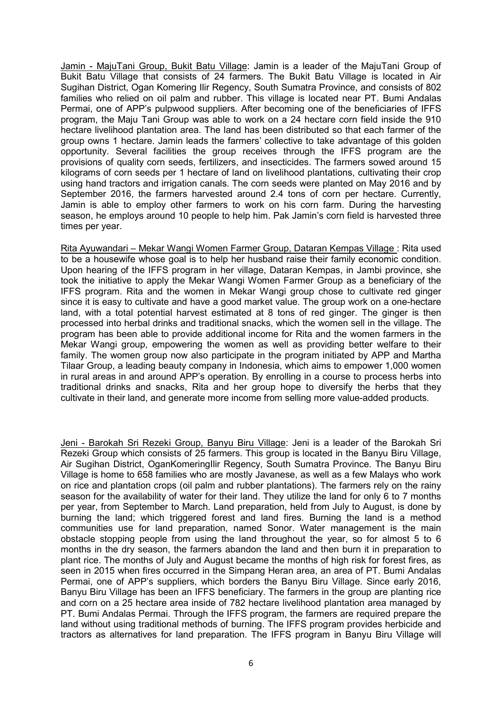Jamin - MajuTani Group, Bukit Batu Village: Jamin is a leader of the MajuTani Group of Bukit Batu Village that consists of 24 farmers. The Bukit Batu Village is located in Air Sugihan District, Ogan Komering Ilir Regency, South Sumatra Province, and consists of 802 families who relied on oil palm and rubber. This village is located near PT. Bumi Andalas Permai, one of APP's pulpwood suppliers. After becoming one of the beneficiaries of IFFS program, the Maju Tani Group was able to work on a 24 hectare corn field inside the 910 hectare livelihood plantation area. The land has been distributed so that each farmer of the group owns 1 hectare. Jamin leads the farmers' collective to take advantage of this golden opportunity. Several facilities the group receives through the IFFS program are the provisions of quality corn seeds, fertilizers, and insecticides. The farmers sowed around 15 kilograms of corn seeds per 1 hectare of land on livelihood plantations, cultivating their crop using hand tractors and irrigation canals. The corn seeds were planted on May 2016 and by September 2016, the farmers harvested around 2.4 tons of corn per hectare. Currently, Jamin is able to employ other farmers to work on his corn farm. During the harvesting season, he employs around 10 people to help him. Pak Jamin's corn field is harvested three times per year.

Rita Ayuwandari – Mekar Wangi Women Farmer Group, Dataran Kempas Village : Rita used to be a housewife whose goal is to help her husband raise their family economic condition. Upon hearing of the IFFS program in her village, Dataran Kempas, in Jambi province, she took the initiative to apply the Mekar Wangi Women Farmer Group as a beneficiary of the IFFS program. Rita and the women in Mekar Wangi group chose to cultivate red ginger since it is easy to cultivate and have a good market value. The group work on a one-hectare land, with a total potential harvest estimated at 8 tons of red ginger. The ginger is then processed into herbal drinks and traditional snacks, which the women sell in the village. The program has been able to provide additional income for Rita and the women farmers in the Mekar Wangi group, empowering the women as well as providing better welfare to their family. The women group now also participate in the program initiated by APP and Martha Tilaar Group, a leading beauty company in Indonesia, which aims to empower 1,000 women in rural areas in and around APP's operation. By enrolling in a course to process herbs into traditional drinks and snacks, Rita and her group hope to diversify the herbs that they cultivate in their land, and generate more income from selling more value-added products.

Jeni - Barokah Sri Rezeki Group, Banyu Biru Village: Jeni is a leader of the Barokah Sri Rezeki Group which consists of 25 farmers. This group is located in the Banyu Biru Village, Air Sugihan District, OganKomeringIlir Regency, South Sumatra Province. The Banyu Biru Village is home to 658 families who are mostly Javanese, as well as a few Malays who work on rice and plantation crops (oil palm and rubber plantations). The farmers rely on the rainy season for the availability of water for their land. They utilize the land for only 6 to 7 months per year, from September to March. Land preparation, held from July to August, is done by burning the land; which triggered forest and land fires. Burning the land is a method communities use for land preparation, named Sonor. Water management is the main obstacle stopping people from using the land throughout the year, so for almost 5 to 6 months in the dry season, the farmers abandon the land and then burn it in preparation to plant rice. The months of July and August became the months of high risk for forest fires, as seen in 2015 when fires occurred in the Simpang Heran area, an area of PT. Bumi Andalas Permai, one of APP's suppliers, which borders the Banyu Biru Village. Since early 2016, Banyu Biru Village has been an IFFS beneficiary. The farmers in the group are planting rice and corn on a 25 hectare area inside of 782 hectare livelihood plantation area managed by PT. Bumi Andalas Permai. Through the IFFS program, the farmers are required prepare the land without using traditional methods of burning. The IFFS program provides herbicide and tractors as alternatives for land preparation. The IFFS program in Banyu Biru Village will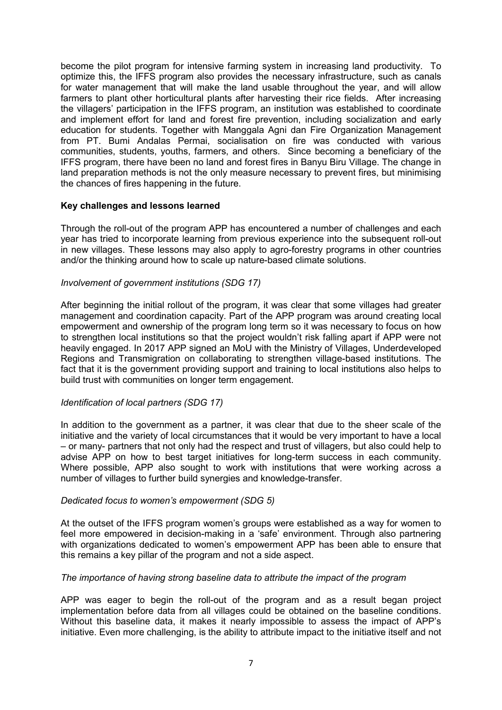become the pilot program for intensive farming system in increasing land productivity. To optimize this, the IFFS program also provides the necessary infrastructure, such as canals for water management that will make the land usable throughout the year, and will allow farmers to plant other horticultural plants after harvesting their rice fields. After increasing the villagers' participation in the IFFS program, an institution was established to coordinate and implement effort for land and forest fire prevention, including socialization and early education for students. Together with Manggala Agni dan Fire Organization Management from PT. Bumi Andalas Permai, socialisation on fire was conducted with various communities, students, youths, farmers, and others. Since becoming a beneficiary of the IFFS program, there have been no land and forest fires in Banyu Biru Village. The change in land preparation methods is not the only measure necessary to prevent fires, but minimising the chances of fires happening in the future.

### Key challenges and lessons learned

Through the roll-out of the program APP has encountered a number of challenges and each year has tried to incorporate learning from previous experience into the subsequent roll-out in new villages. These lessons may also apply to agro-forestry programs in other countries and/or the thinking around how to scale up nature-based climate solutions.

### Involvement of government institutions (SDG 17)

After beginning the initial rollout of the program, it was clear that some villages had greater management and coordination capacity. Part of the APP program was around creating local empowerment and ownership of the program long term so it was necessary to focus on how to strengthen local institutions so that the project wouldn't risk falling apart if APP were not heavily engaged. In 2017 APP signed an MoU with the Ministry of Villages. Underdeveloped Regions and Transmigration on collaborating to strengthen village-based institutions. The fact that it is the government providing support and training to local institutions also helps to build trust with communities on longer term engagement.

#### Identification of local partners (SDG 17)

In addition to the government as a partner, it was clear that due to the sheer scale of the initiative and the variety of local circumstances that it would be very important to have a local – or many- partners that not only had the respect and trust of villagers, but also could help to advise APP on how to best target initiatives for long-term success in each community. Where possible, APP also sought to work with institutions that were working across a number of villages to further build synergies and knowledge-transfer.

#### Dedicated focus to women's empowerment (SDG 5)

At the outset of the IFFS program women's groups were established as a way for women to feel more empowered in decision-making in a 'safe' environment. Through also partnering with organizations dedicated to women's empowerment APP has been able to ensure that this remains a key pillar of the program and not a side aspect.

#### The importance of having strong baseline data to attribute the impact of the program

APP was eager to begin the roll-out of the program and as a result began project implementation before data from all villages could be obtained on the baseline conditions. Without this baseline data, it makes it nearly impossible to assess the impact of APP's initiative. Even more challenging, is the ability to attribute impact to the initiative itself and not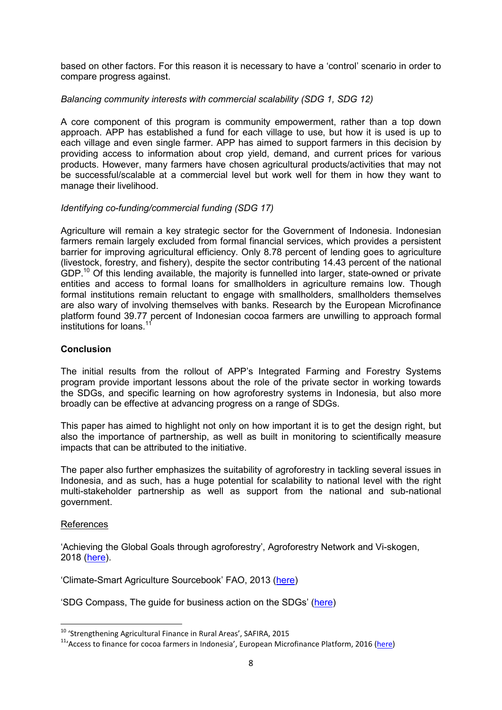based on other factors. For this reason it is necessary to have a 'control' scenario in order to compare progress against.

# Balancing community interests with commercial scalability (SDG 1, SDG 12)

A core component of this program is community empowerment, rather than a top down approach. APP has established a fund for each village to use, but how it is used is up to each village and even single farmer. APP has aimed to support farmers in this decision by providing access to information about crop yield, demand, and current prices for various products. However, many farmers have chosen agricultural products/activities that may not be successful/scalable at a commercial level but work well for them in how they want to manage their livelihood.

### Identifying co-funding/commercial funding (SDG 17)

Agriculture will remain a key strategic sector for the Government of Indonesia. Indonesian farmers remain largely excluded from formal financial services, which provides a persistent barrier for improving agricultural efficiency. Only 8.78 percent of lending goes to agriculture (livestock, forestry, and fishery), despite the sector contributing 14.43 percent of the national GDP.<sup>10</sup> Of this lending available, the majority is funnelled into larger, state-owned or private entities and access to formal loans for smallholders in agriculture remains low. Though formal institutions remain reluctant to engage with smallholders, smallholders themselves are also wary of involving themselves with banks. Research by the European Microfinance platform found 39.77 percent of Indonesian cocoa farmers are unwilling to approach formal institutions for loans.<sup>11</sup>

### Conclusion

The initial results from the rollout of APP's Integrated Farming and Forestry Systems program provide important lessons about the role of the private sector in working towards the SDGs, and specific learning on how agroforestry systems in Indonesia, but also more broadly can be effective at advancing progress on a range of SDGs.

This paper has aimed to highlight not only on how important it is to get the design right, but also the importance of partnership, as well as built in monitoring to scientifically measure impacts that can be attributed to the initiative.

The paper also further emphasizes the suitability of agroforestry in tackling several issues in Indonesia, and as such, has a huge potential for scalability to national level with the right multi-stakeholder partnership as well as support from the national and sub-national government.

#### References

-

'Achieving the Global Goals through agroforestry', Agroforestry Network and Vi-skogen, 2018 (here).

'Climate-Smart Agriculture Sourcebook' FAO, 2013 (here)

'SDG Compass, The guide for business action on the SDGs' (here)

<sup>10</sup> 'Strengthening Agricultural Finance in Rural Areas', SAFIRA, 2015

<sup>11</sup>'Access to finance for cocoa farmers in Indonesia', European Microfinance Platform, 2016 (here)